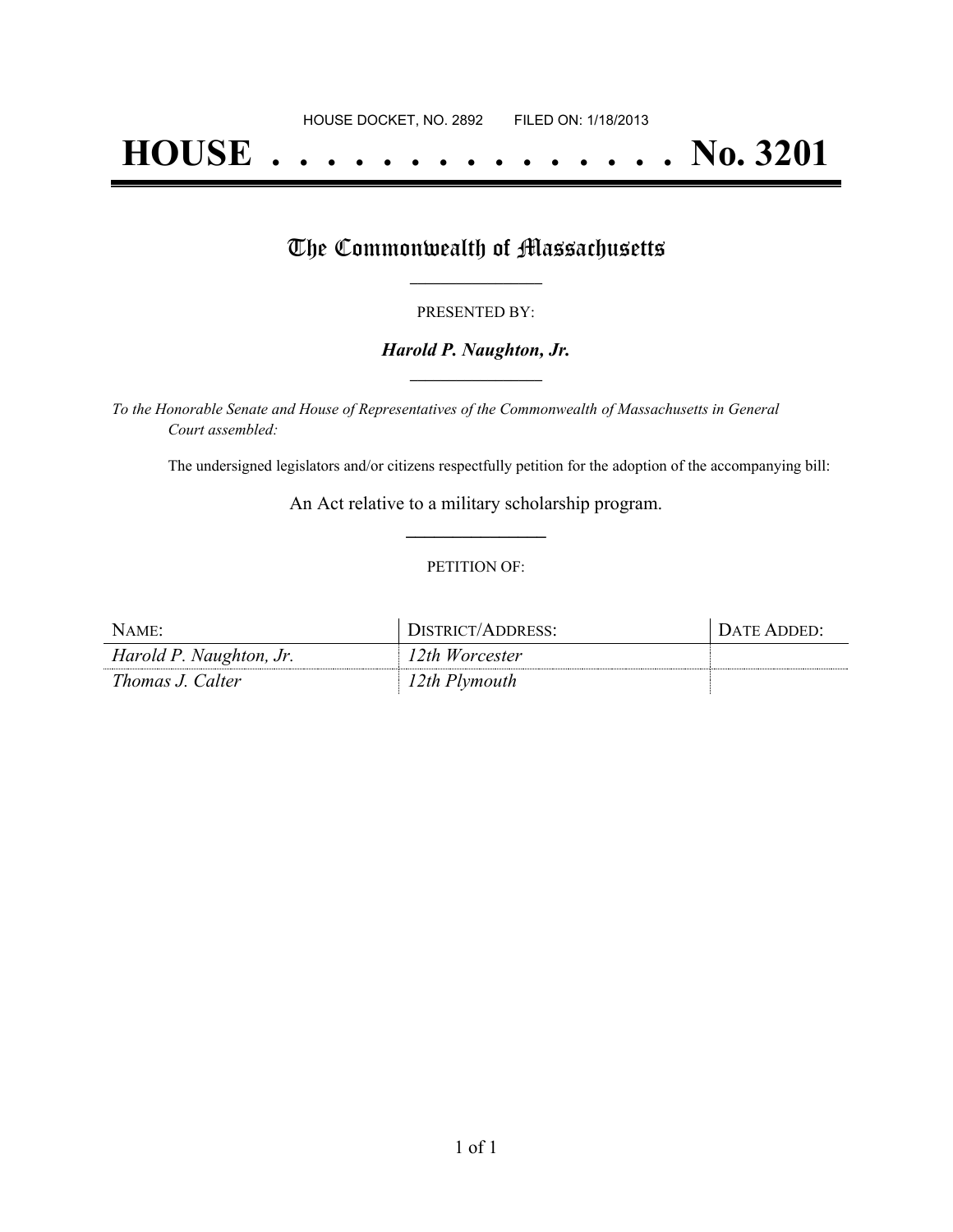# **HOUSE . . . . . . . . . . . . . . . No. 3201**

## The Commonwealth of Massachusetts

#### PRESENTED BY:

#### *Harold P. Naughton, Jr.* **\_\_\_\_\_\_\_\_\_\_\_\_\_\_\_\_\_**

*To the Honorable Senate and House of Representatives of the Commonwealth of Massachusetts in General Court assembled:*

The undersigned legislators and/or citizens respectfully petition for the adoption of the accompanying bill:

An Act relative to a military scholarship program. **\_\_\_\_\_\_\_\_\_\_\_\_\_\_\_**

#### PETITION OF:

| NAME:                   | DISTRICT/ADDRESS: | <b>DATE ADDED:</b> |
|-------------------------|-------------------|--------------------|
| Harold P. Naughton, Jr. | 12th Worcester    |                    |
| Thomas J. Calter        | 12th Plymouth     |                    |